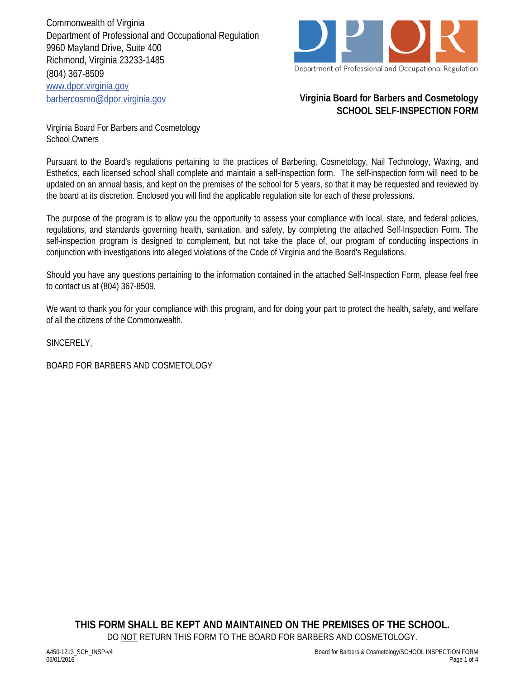Commonwealth of Virginia Department of Professional and Occupational Regulation 9960 Mayland Drive, Suite 400 Richmond, Virginia 23233-1485 (804) 367-8509 www.dpor.virginia.gov barbercosmo@dpor.virginia.gov



## **Virginia Board for Barbers and Cosmetology SCHOOL SELF-INSPECTION FORM**

Virginia Board For Barbers and Cosmetology School Owners

Pursuant to the Board's regulations pertaining to the practices of Barbering, Cosmetology, Nail Technology, Waxing, and Esthetics, each licensed school shall complete and maintain a self-inspection form. The self-inspection form will need to be updated on an annual basis, and kept on the premises of the school for 5 years, so that it may be requested and reviewed by the board at its discretion. Enclosed you will find the applicable regulation site for each of these professions.

The purpose of the program is to allow you the opportunity to assess your compliance with local, state, and federal policies, regulations, and standards governing health, sanitation, and safety, by completing the attached Self-Inspection Form. The self-inspection program is designed to complement, but not take the place of, our program of conducting inspections in conjunction with investigations into alleged violations of the Code of Virginia and the Board's Regulations.

Should you have any questions pertaining to the information contained in the attached Self-Inspection Form, please feel free to contact us at (804) 367-8509.

We want to thank you for your compliance with this program, and for doing your part to protect the health, safety, and welfare of all the citizens of the Commonwealth.

SINCERELY,

BOARD FOR BARBERS AND COSMETOLOGY

**THIS FORM SHALL BE KEPT AND MAINTAINED ON THE PREMISES OF THE SCHOOL.**  DO NOT RETURN THIS FORM TO THE BOARD FOR BARBERS AND COSMETOLOGY.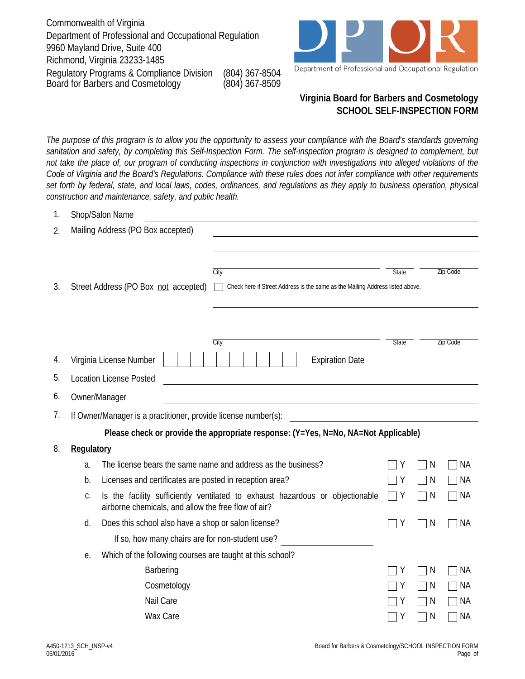Commonwealth of Virginia Department of Professional and Occupational Regulation 9960 Mayland Drive, Suite 400 Richmond, Virginia 23233-1485 Board for Barbers and Cosmetology (804) 367-8509 Regulatory Programs & Compliance Division (804) 367-8504



Department of Professional and Occupational Regulation

## **Virginia Board for Barbers and Cosmetology SCHOOL SELF-INSPECTION FORM**

*The purpose of this program is to allow you the opportunity to assess your compliance with the Board's standards governing sanitation and safety, by completing this Self-Inspection Form. The self-inspection program is designed to complement, but not take the place of, our program of conducting inspections in conjunction with investigations into alleged violations of the Code of Virginia and the Board's Regulations. Compliance with these rules does not infer compliance with other requirements set forth by federal, state, and local laws, codes, ordinances, and regulations as they apply to business operation, physical construction and maintenance, safety, and public health.*

| 1.                                      |                                                                                                                     | Shop/Salon Name                                                                                                                      |                                                                               |                        |                        |                          |                 |  |
|-----------------------------------------|---------------------------------------------------------------------------------------------------------------------|--------------------------------------------------------------------------------------------------------------------------------------|-------------------------------------------------------------------------------|------------------------|------------------------|--------------------------|-----------------|--|
| Mailing Address (PO Box accepted)<br>2. |                                                                                                                     |                                                                                                                                      |                                                                               |                        |                        |                          |                 |  |
|                                         |                                                                                                                     |                                                                                                                                      |                                                                               |                        |                        |                          |                 |  |
|                                         |                                                                                                                     | $\overline{City}$                                                                                                                    |                                                                               |                        | <b>State</b>           |                          | <b>Zip Code</b> |  |
| 3.                                      |                                                                                                                     | Street Address (PO Box not accepted)                                                                                                 | Check here if Street Address is the same as the Mailing Address listed above. |                        |                        |                          |                 |  |
|                                         |                                                                                                                     |                                                                                                                                      |                                                                               |                        |                        |                          |                 |  |
|                                         |                                                                                                                     |                                                                                                                                      |                                                                               |                        |                        |                          |                 |  |
|                                         |                                                                                                                     | City                                                                                                                                 |                                                                               |                        |                        | <b>State</b><br>Zip Code |                 |  |
| 4.                                      |                                                                                                                     | Virginia License Number                                                                                                              |                                                                               | <b>Expiration Date</b> |                        |                          |                 |  |
| 5.                                      |                                                                                                                     | <b>Location License Posted</b>                                                                                                       |                                                                               |                        |                        |                          |                 |  |
| 6.                                      |                                                                                                                     | Owner/Manager                                                                                                                        |                                                                               |                        |                        |                          |                 |  |
| 7.                                      | If Owner/Manager is a practitioner, provide license number(s):<br><u> 1980 - Johann Barbara, martxa alemaniar a</u> |                                                                                                                                      |                                                                               |                        |                        |                          |                 |  |
|                                         |                                                                                                                     | Please check or provide the appropriate response: (Y=Yes, N=No, NA=Not Applicable)                                                   |                                                                               |                        |                        |                          |                 |  |
| 8.                                      | Regulatory                                                                                                          |                                                                                                                                      |                                                                               |                        |                        |                          |                 |  |
|                                         | a.                                                                                                                  | The license bears the same name and address as the business?                                                                         |                                                                               |                        | Y                      | N                        | <b>NA</b>       |  |
|                                         | b.                                                                                                                  | Licenses and certificates are posted in reception area?                                                                              |                                                                               |                        | Y                      | N                        | <b>NA</b>       |  |
|                                         | C.                                                                                                                  | Is the facility sufficiently ventilated to exhaust hazardous or objectionable<br>airborne chemicals, and allow the free flow of air? |                                                                               |                        | Y<br>$\vert \ \ \vert$ | N                        | <b>NA</b>       |  |
|                                         | d.                                                                                                                  | Does this school also have a shop or salon license?                                                                                  |                                                                               |                        | Y                      | N                        | <b>NA</b>       |  |
|                                         |                                                                                                                     | If so, how many chairs are for non-student use?                                                                                      |                                                                               |                        |                        |                          |                 |  |
|                                         | e.                                                                                                                  | Which of the following courses are taught at this school?                                                                            |                                                                               |                        |                        |                          |                 |  |
|                                         |                                                                                                                     | Barbering                                                                                                                            |                                                                               |                        | Y                      | N                        | <b>NA</b>       |  |
|                                         |                                                                                                                     | Cosmetology                                                                                                                          |                                                                               |                        | Υ                      | N                        | <b>NA</b>       |  |
|                                         |                                                                                                                     | Nail Care                                                                                                                            |                                                                               |                        |                        | N                        | <b>NA</b>       |  |
|                                         |                                                                                                                     | Wax Care                                                                                                                             |                                                                               |                        | Υ                      | N                        | <b>NA</b>       |  |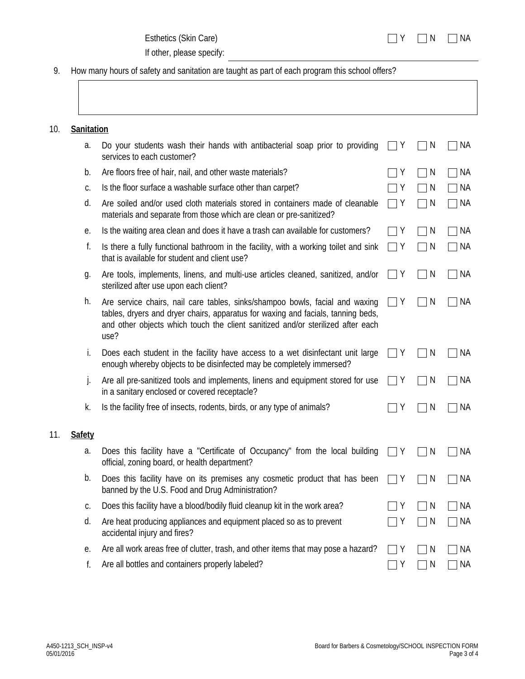If other, please specify:

9. How many hours of safety and sanitation are taught as part of each program this school offers?

| 10. | Sanitation    |                                                                                                                                                                                                                                                             |   |              |           |  |
|-----|---------------|-------------------------------------------------------------------------------------------------------------------------------------------------------------------------------------------------------------------------------------------------------------|---|--------------|-----------|--|
|     | a.            | Do your students wash their hands with antibacterial soap prior to providing<br>services to each customer?                                                                                                                                                  | Y | N            | ΝA        |  |
|     | b.            | Are floors free of hair, nail, and other waste materials?                                                                                                                                                                                                   | Υ | N            | <b>NA</b> |  |
|     | C.            | Is the floor surface a washable surface other than carpet?                                                                                                                                                                                                  | Υ | N            | ΝA        |  |
|     | d.            | Are soiled and/or used cloth materials stored in containers made of cleanable<br>materials and separate from those which are clean or pre-sanitized?                                                                                                        | Y | N            | <b>NA</b> |  |
|     | е.            | Is the waiting area clean and does it have a trash can available for customers?                                                                                                                                                                             | Y | N            | ΝA        |  |
|     | f.            | Is there a fully functional bathroom in the facility, with a working toilet and sink<br>that is available for student and client use?                                                                                                                       | Y | N            | NА        |  |
|     | g.            | Are tools, implements, linens, and multi-use articles cleaned, sanitized, and/or<br>sterilized after use upon each client?                                                                                                                                  | Y | N            | ΝA        |  |
|     | h.            | Are service chairs, nail care tables, sinks/shampoo bowls, facial and waxing<br>tables, dryers and dryer chairs, apparatus for waxing and facials, tanning beds,<br>and other objects which touch the client sanitized and/or sterilized after each<br>use? | Y | N            | ΝA        |  |
|     | İ.            | Does each student in the facility have access to a wet disinfectant unit large<br>enough whereby objects to be disinfected may be completely immersed?                                                                                                      | Y | <sup>N</sup> | ΝA        |  |
|     | j.            | Are all pre-sanitized tools and implements, linens and equipment stored for use<br>in a sanitary enclosed or covered receptacle?                                                                                                                            | Y | N            | ΝA        |  |
|     | k.            | Is the facility free of insects, rodents, birds, or any type of animals?                                                                                                                                                                                    | Υ | N            | <b>NA</b> |  |
| 11. | <b>Safety</b> |                                                                                                                                                                                                                                                             |   |              |           |  |
|     | a.            | Does this facility have a "Certificate of Occupancy" from the local building<br>official, zoning board, or health department?                                                                                                                               | Y | N            | ΝA        |  |
|     | b.            | Does this facility have on its premises any cosmetic product that has been<br>banned by the U.S. Food and Drug Administration?                                                                                                                              | Y | N            | <b>NA</b> |  |
|     | С.            | Does this facility have a blood/bodily fluid cleanup kit in the work area?                                                                                                                                                                                  |   | N            | <b>NA</b> |  |
|     | d.            | Are heat producing appliances and equipment placed so as to prevent<br>accidental injury and fires?                                                                                                                                                         | Υ | N            | <b>NA</b> |  |
|     | е.            | Are all work areas free of clutter, trash, and other items that may pose a hazard?                                                                                                                                                                          | Y | N            | ΝA        |  |
|     | f.            | Are all bottles and containers properly labeled?                                                                                                                                                                                                            | Υ | N            | NА        |  |